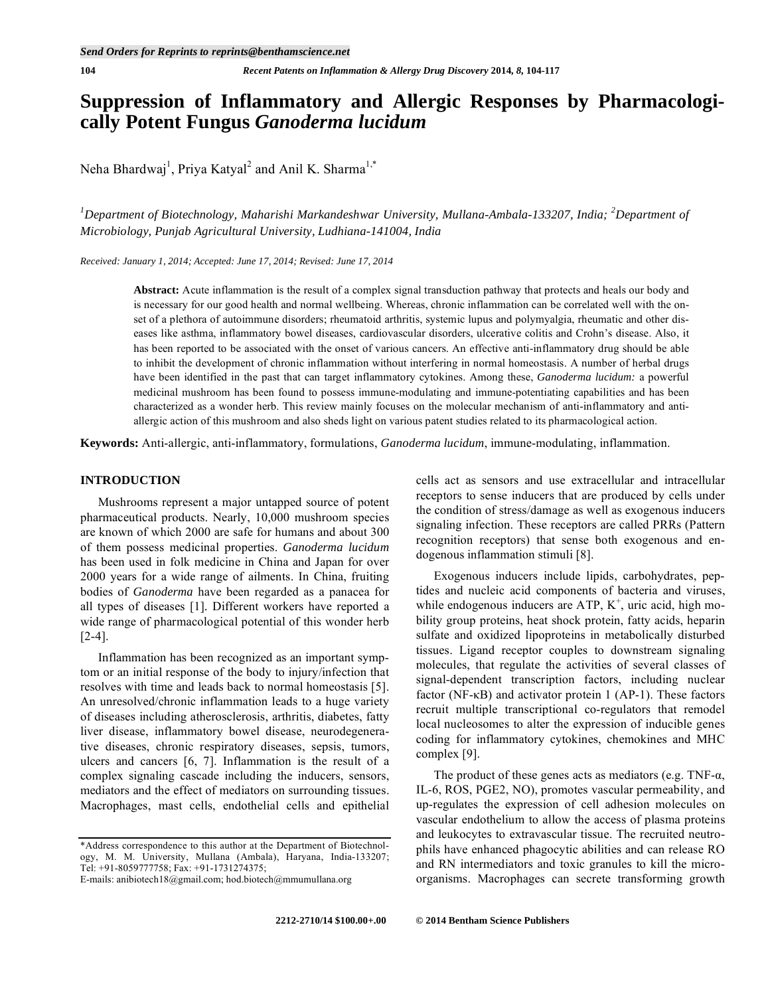# **Suppression of Inflammatory and Allergic Responses by Pharmacologically Potent Fungus** *Ganoderma lucidum*

Neha Bhardwaj<sup>1</sup>, Priya Katyal<sup>2</sup> and Anil K. Sharma<sup>1,\*</sup>

<sup>1</sup>Department of Biotechnology, Maharishi Markandeshwar University, Mullana-Ambala-133207, India; <sup>2</sup>Department of *Microbiology, Punjab Agricultural University, Ludhiana-141004, India* 

*Received: January 1, 2014; Accepted: June 17, 2014; Revised: June 17, 2014* 

**Abstract:** Acute inflammation is the result of a complex signal transduction pathway that protects and heals our body and is necessary for our good health and normal wellbeing. Whereas, chronic inflammation can be correlated well with the onset of a plethora of autoimmune disorders; rheumatoid arthritis, systemic lupus and polymyalgia, rheumatic and other diseases like asthma, inflammatory bowel diseases, cardiovascular disorders, ulcerative colitis and Crohn's disease. Also, it has been reported to be associated with the onset of various cancers. An effective anti-inflammatory drug should be able to inhibit the development of chronic inflammation without interfering in normal homeostasis. A number of herbal drugs have been identified in the past that can target inflammatory cytokines. Among these, *Ganoderma lucidum:* a powerful medicinal mushroom has been found to possess immune-modulating and immune-potentiating capabilities and has been characterized as a wonder herb. This review mainly focuses on the molecular mechanism of anti-inflammatory and antiallergic action of this mushroom and also sheds light on various patent studies related to its pharmacological action.

**Keywords:** Anti-allergic, anti-inflammatory, formulations, *Ganoderma lucidum*, immune-modulating, inflammation.

#### **INTRODUCTION**

 Mushrooms represent a major untapped source of potent pharmaceutical products. Nearly, 10,000 mushroom species are known of which 2000 are safe for humans and about 300 of them possess medicinal properties. *Ganoderma lucidum*  has been used in folk medicine in China and Japan for over 2000 years for a wide range of ailments. In China, fruiting bodies of *Ganoderma* have been regarded as a panacea for all types of diseases [1]*.* Different workers have reported a wide range of pharmacological potential of this wonder herb [2-4].

 Inflammation has been recognized as an important symptom or an initial response of the body to injury/infection that resolves with time and leads back to normal homeostasis [5]. An unresolved/chronic inflammation leads to a huge variety of diseases including atherosclerosis, arthritis, diabetes, fatty liver disease, inflammatory bowel disease, neurodegenerative diseases, chronic respiratory diseases, sepsis, tumors, ulcers and cancers [6, 7]. Inflammation is the result of a complex signaling cascade including the inducers, sensors, mediators and the effect of mediators on surrounding tissues. Macrophages, mast cells, endothelial cells and epithelial cells act as sensors and use extracellular and intracellular receptors to sense inducers that are produced by cells under the condition of stress/damage as well as exogenous inducers signaling infection. These receptors are called PRRs (Pattern recognition receptors) that sense both exogenous and endogenous inflammation stimuli [8].

 Exogenous inducers include lipids, carbohydrates, peptides and nucleic acid components of bacteria and viruses, while endogenous inducers are ATP,  $K^+$ , uric acid, high mobility group proteins, heat shock protein, fatty acids, heparin sulfate and oxidized lipoproteins in metabolically disturbed tissues. Ligand receptor couples to downstream signaling molecules, that regulate the activities of several classes of signal-dependent transcription factors, including nuclear factor (NF- $\kappa$ B) and activator protein 1 (AP-1). These factors recruit multiple transcriptional co-regulators that remodel local nucleosomes to alter the expression of inducible genes coding for inflammatory cytokines, chemokines and MHC complex [9].

The product of these genes acts as mediators (e.g. TNF- $\alpha$ , IL-6, ROS, PGE2, NO), promotes vascular permeability, and up-regulates the expression of cell adhesion molecules on vascular endothelium to allow the access of plasma proteins and leukocytes to extravascular tissue. The recruited neutrophils have enhanced phagocytic abilities and can release RO and RN intermediators and toxic granules to kill the microorganisms. Macrophages can secrete transforming growth

<sup>\*</sup>Address correspondence to this author at the Department of Biotechnology, M. M. University, Mullana (Ambala), Haryana, India-133207; Tel: +91-8059777758; Fax: +91-1731274375;

E-mails: anibiotech18@gmail.com; hod.biotech@mmumullana.org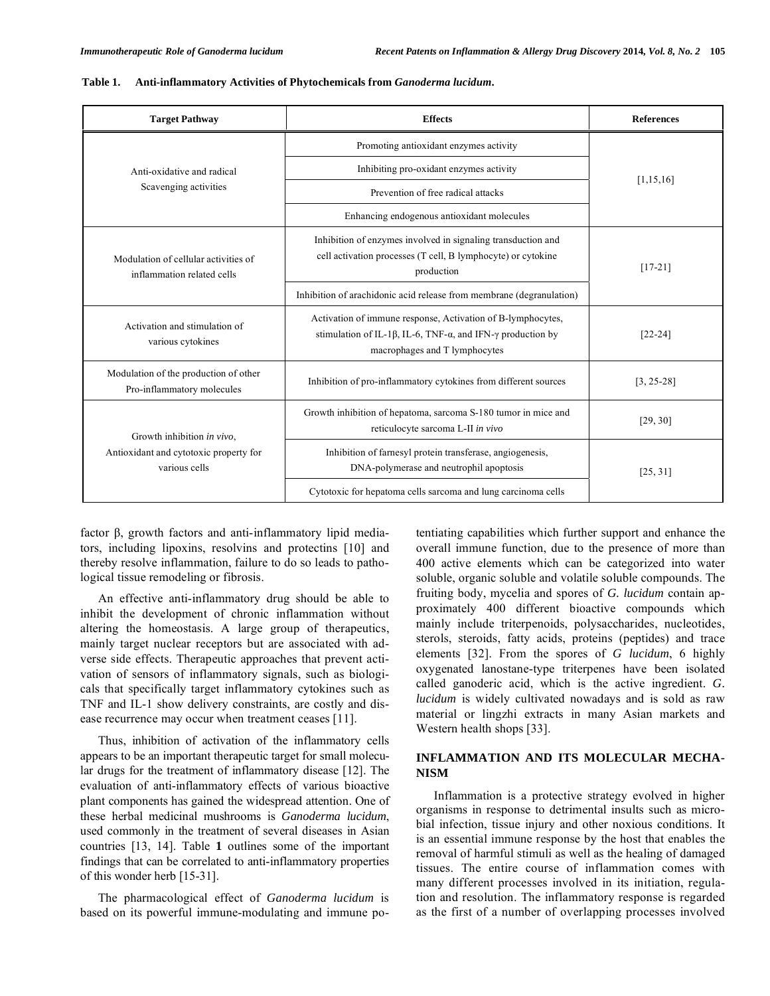Activation and stimulation of various cytokines

Modulation of the production of other

Growth inhibition *in vivo*, Antioxidant and cytotoxic property for various cells

[22-24]

[25, 31]

| <b>Target Pathway</b>                                              | <b>Effects</b>                                                                                                                             | <b>References</b> |
|--------------------------------------------------------------------|--------------------------------------------------------------------------------------------------------------------------------------------|-------------------|
|                                                                    | Promoting antioxidant enzymes activity                                                                                                     |                   |
| Anti-oxidative and radical                                         | Inhibiting pro-oxidant enzymes activity                                                                                                    |                   |
| Scavenging activities                                              | Prevention of free radical attacks                                                                                                         | [1, 15, 16]       |
|                                                                    | Enhancing endogenous antioxidant molecules                                                                                                 |                   |
| Modulation of cellular activities of<br>inflammation related cells | Inhibition of enzymes involved in signaling transduction and<br>cell activation processes (T cell, B lymphocyte) or cytokine<br>production | $[17-21]$         |
|                                                                    | Inhibition of arachidonic acid release from membrane (degranulation)                                                                       |                   |
| .                                                                  | Activation of immune response, Activation of B-lymphocytes,                                                                                |                   |

stimulation of IL-1 $\beta$ , IL-6, TNF- $\alpha$ , and IFN- $\gamma$  production by macrophages and T lymphocytes

Growth inhibition of hepatoma, sarcoma S-180 tumor in mice and

Inhibition of farnesyl protein transferase, angiogenesis, DNA-polymerase and neutrophil apoptosis

Cytotoxic for hepatoma cells sarcoma and lung carcinoma cells

reticulocyte sarcoma L-II *in vivo* [29, 30]

Pro-inflammatory molecules Inhibition of pro-inflammatory cytokines from different sources [3, 25-28]

#### **Table 1. Anti-inflammatory Activities of Phytochemicals from** *Ganoderma lucidum***.**

factor  $\beta$ , growth factors and anti-inflammatory lipid mediators, including lipoxins, resolvins and protectins [10] and thereby resolve inflammation, failure to do so leads to pathological tissue remodeling or fibrosis.

 An effective anti-inflammatory drug should be able to inhibit the development of chronic inflammation without altering the homeostasis. A large group of therapeutics, mainly target nuclear receptors but are associated with adverse side effects. Therapeutic approaches that prevent activation of sensors of inflammatory signals, such as biologicals that specifically target inflammatory cytokines such as TNF and IL-1 show delivery constraints, are costly and disease recurrence may occur when treatment ceases [11].

 Thus, inhibition of activation of the inflammatory cells appears to be an important therapeutic target for small molecular drugs for the treatment of inflammatory disease [12]. The evaluation of anti-inflammatory effects of various bioactive plant components has gained the widespread attention. One of these herbal medicinal mushrooms is *Ganoderma lucidum*, used commonly in the treatment of several diseases in Asian countries [13, 14]. Table **1** outlines some of the important findings that can be correlated to anti-inflammatory properties of this wonder herb [15-31].

 The pharmacological effect of *Ganoderma lucidum* is based on its powerful immune-modulating and immune potentiating capabilities which further support and enhance the overall immune function, due to the presence of more than 400 active elements which can be categorized into water soluble, organic soluble and volatile soluble compounds. The fruiting body, mycelia and spores of *G. lucidum* contain approximately 400 different bioactive compounds which mainly include triterpenoids, polysaccharides, nucleotides, sterols, steroids, fatty acids, proteins (peptides) and trace elements [32]. From the spores of *G lucidum*, 6 highly oxygenated lanostane-type triterpenes have been isolated called ganoderic acid, which is the active ingredient. *G. lucidum* is widely cultivated nowadays and is sold as raw material or lingzhi extracts in many Asian markets and Western health shops [33].

### **INFLAMMATION AND ITS MOLECULAR MECHA-NISM**

 Inflammation is a protective strategy evolved in higher organisms in response to detrimental insults such as microbial infection, tissue injury and other noxious conditions. It is an essential immune response by the host that enables the removal of harmful stimuli as well as the healing of damaged tissues. The entire course of inflammation comes with many different processes involved in its initiation, regulation and resolution. The inflammatory response is regarded as the first of a number of overlapping processes involved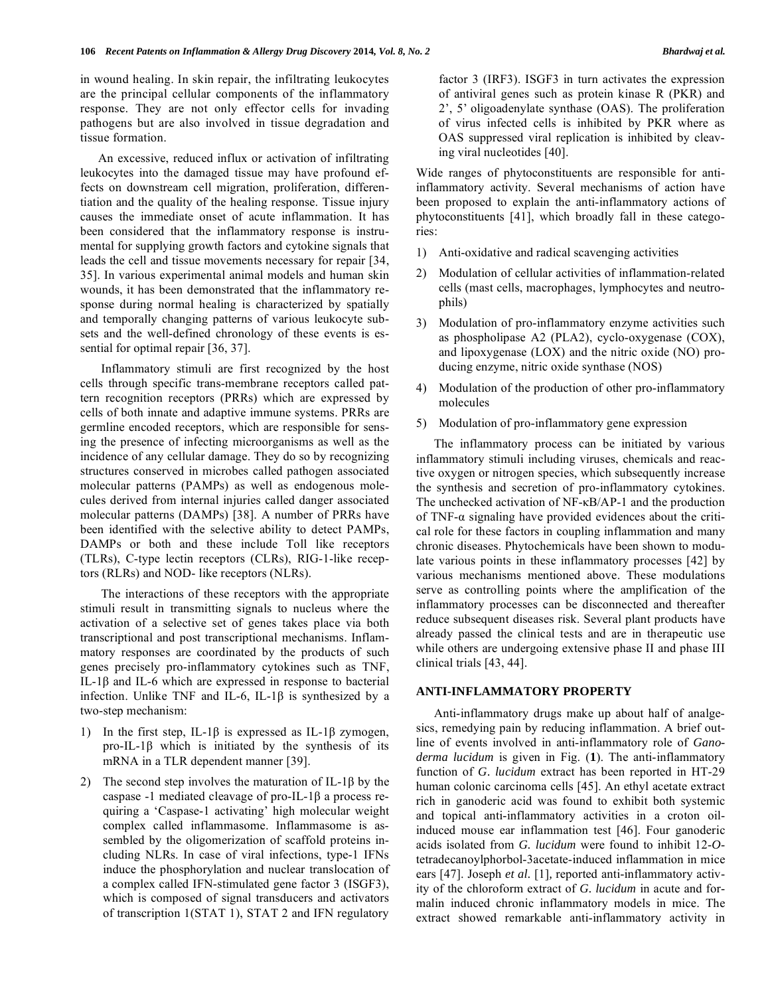in wound healing. In skin repair, the infiltrating leukocytes are the principal cellular components of the inflammatory response. They are not only effector cells for invading pathogens but are also involved in tissue degradation and tissue formation.

 An excessive, reduced influx or activation of infiltrating leukocytes into the damaged tissue may have profound effects on downstream cell migration, proliferation, differentiation and the quality of the healing response. Tissue injury causes the immediate onset of acute inflammation. It has been considered that the inflammatory response is instrumental for supplying growth factors and cytokine signals that leads the cell and tissue movements necessary for repair [34, 35]. In various experimental animal models and human skin wounds, it has been demonstrated that the inflammatory response during normal healing is characterized by spatially and temporally changing patterns of various leukocyte subsets and the well-defined chronology of these events is essential for optimal repair [36, 37].

 Inflammatory stimuli are first recognized by the host cells through specific trans-membrane receptors called pattern recognition receptors (PRRs) which are expressed by cells of both innate and adaptive immune systems. PRRs are germline encoded receptors, which are responsible for sensing the presence of infecting microorganisms as well as the incidence of any cellular damage. They do so by recognizing structures conserved in microbes called pathogen associated molecular patterns (PAMPs) as well as endogenous molecules derived from internal injuries called danger associated molecular patterns (DAMPs) [38]. A number of PRRs have been identified with the selective ability to detect PAMPs, DAMPs or both and these include Toll like receptors (TLRs), C-type lectin receptors (CLRs), RIG-1-like receptors (RLRs) and NOD- like receptors (NLRs).

 The interactions of these receptors with the appropriate stimuli result in transmitting signals to nucleus where the activation of a selective set of genes takes place via both transcriptional and post transcriptional mechanisms. Inflammatory responses are coordinated by the products of such genes precisely pro-inflammatory cytokines such as TNF, IL-1 $β$  and IL-6 which are expressed in response to bacterial infection. Unlike TNF and IL-6, IL-1 $\beta$  is synthesized by a two-step mechanism:

- 1) In the first step, IL-1 $\beta$  is expressed as IL-1 $\beta$  zymogen, pro-IL-1 $\beta$  which is initiated by the synthesis of its mRNA in a TLR dependent manner [39].
- 2) The second step involves the maturation of IL-1 $\beta$  by the caspase -1 mediated cleavage of pro-IL- $1\beta$  a process requiring a 'Caspase-1 activating' high molecular weight complex called inflammasome. Inflammasome is assembled by the oligomerization of scaffold proteins including NLRs. In case of viral infections, type-1 IFNs induce the phosphorylation and nuclear translocation of a complex called IFN-stimulated gene factor 3 (ISGF3), which is composed of signal transducers and activators of transcription 1(STAT 1), STAT 2 and IFN regulatory

factor 3 (IRF3). ISGF3 in turn activates the expression of antiviral genes such as protein kinase R (PKR) and 2', 5' oligoadenylate synthase (OAS). The proliferation of virus infected cells is inhibited by PKR where as OAS suppressed viral replication is inhibited by cleaving viral nucleotides [40].

Wide ranges of phytoconstituents are responsible for antiinflammatory activity. Several mechanisms of action have been proposed to explain the anti-inflammatory actions of phytoconstituents [41], which broadly fall in these categories:

- 1) Anti-oxidative and radical scavenging activities
- 2) Modulation of cellular activities of inflammation-related cells (mast cells, macrophages, lymphocytes and neutrophils)
- 3) Modulation of pro-inflammatory enzyme activities such as phospholipase A2 (PLA2), cyclo-oxygenase (COX), and lipoxygenase (LOX) and the nitric oxide (NO) producing enzyme, nitric oxide synthase (NOS)
- 4) Modulation of the production of other pro-inflammatory molecules
- 5) Modulation of pro-inflammatory gene expression

 The inflammatory process can be initiated by various inflammatory stimuli including viruses, chemicals and reactive oxygen or nitrogen species, which subsequently increase the synthesis and secretion of pro-inflammatory cytokines. The unchecked activation of  $NF$ - $\kappa$ B/AP-1 and the production of TNF- $\alpha$  signaling have provided evidences about the critical role for these factors in coupling inflammation and many chronic diseases. Phytochemicals have been shown to modulate various points in these inflammatory processes [42] by various mechanisms mentioned above. These modulations serve as controlling points where the amplification of the inflammatory processes can be disconnected and thereafter reduce subsequent diseases risk. Several plant products have already passed the clinical tests and are in therapeutic use while others are undergoing extensive phase II and phase III clinical trials [43, 44].

## **ANTI-INFLAMMATORY PROPERTY**

 Anti-inflammatory drugs make up about half of analgesics, remedying pain by reducing inflammation. A brief outline of events involved in anti-inflammatory role of *Ganoderma lucidum* is given in Fig. (**1**). The anti-inflammatory function of *G. lucidum* extract has been reported in HT-29 human colonic carcinoma cells [45]. An ethyl acetate extract rich in ganoderic acid was found to exhibit both systemic and topical anti-inflammatory activities in a croton oilinduced mouse ear inflammation test [46]. Four ganoderic acids isolated from *G. lucidum* were found to inhibit 12-*O*tetradecanoylphorbol-3acetate-induced inflammation in mice ears [47]. Joseph *et al.* [1]*,* reported anti-inflammatory activity of the chloroform extract of *G. lucidum* in acute and formalin induced chronic inflammatory models in mice. The extract showed remarkable anti-inflammatory activity in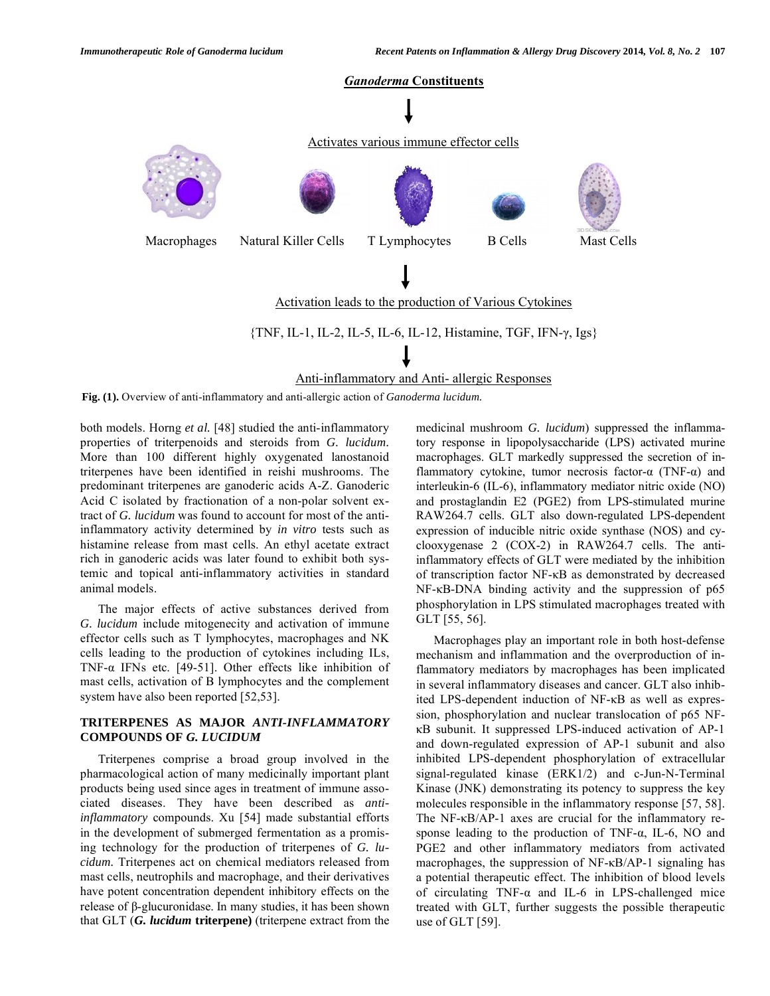

**Fig. (1).** Overview of anti-inflammatory and anti-allergic action of *Ganoderma lucidum.* 

both models. Horng *et al.* [48] studied the anti-inflammatory properties of triterpenoids and steroids from *G. lucidum.* More than 100 different highly oxygenated lanostanoid triterpenes have been identified in reishi mushrooms. The predominant triterpenes are ganoderic acids A-Z. Ganoderic Acid C isolated by fractionation of a non-polar solvent extract of *G. lucidum* was found to account for most of the antiinflammatory activity determined by *in vitro* tests such as histamine release from mast cells. An ethyl acetate extract rich in ganoderic acids was later found to exhibit both systemic and topical anti-inflammatory activities in standard animal models.

 The major effects of active substances derived from *G. lucidum* include mitogenecity and activation of immune effector cells such as T lymphocytes, macrophages and NK cells leading to the production of cytokines including ILs, TNF- $\alpha$  IFNs etc. [49-51]. Other effects like inhibition of mast cells, activation of B lymphocytes and the complement system have also been reported [52,53].

## **TRITERPENES AS MAJOR** *ANTI-INFLAMMATORY* **COMPOUNDS OF** *G. LUCIDUM*

 Triterpenes comprise a broad group involved in the pharmacological action of many medicinally important plant products being used since ages in treatment of immune associated diseases. They have been described as *antiinflammatory* compounds. Xu [54] made substantial efforts in the development of submerged fermentation as a promising technology for the production of triterpenes of *G. lucidum.* Triterpenes act on chemical mediators released from mast cells, neutrophils and macrophage, and their derivatives have potent concentration dependent inhibitory effects on the  $r$ elease of  $\beta$ -glucuronidase. In many studies, it has been shown that GLT (*G. lucidum* **triterpene)** (triterpene extract from the

medicinal mushroom *G. lucidum*) suppressed the inflammatory response in lipopolysaccharide (LPS) activated murine macrophages. GLT markedly suppressed the secretion of inflammatory cytokine, tumor necrosis factor- $\alpha$  (TNF- $\alpha$ ) and interleukin-6 (IL-6), inflammatory mediator nitric oxide (NO) and prostaglandin E2 (PGE2) from LPS-stimulated murine RAW264.7 cells. GLT also down-regulated LPS-dependent expression of inducible nitric oxide synthase (NOS) and cyclooxygenase 2 (COX-2) in RAW264.7 cells. The antiinflammatory effects of GLT were mediated by the inhibition of transcription factor NF-KB as demonstrated by decreased  $NF-\kappa B-DNA$  binding activity and the suppression of p65 phosphorylation in LPS stimulated macrophages treated with GLT [55, 56].

 Macrophages play an important role in both host-defense mechanism and inflammation and the overproduction of inflammatory mediators by macrophages has been implicated in several inflammatory diseases and cancer. GLT also inhibited LPS-dependent induction of NF-KB as well as expression, phosphorylation and nuclear translocation of p65 NF- B subunit. It suppressed LPS-induced activation of AP-1 and down-regulated expression of AP-1 subunit and also inhibited LPS-dependent phosphorylation of extracellular signal-regulated kinase (ERK1/2) and c-Jun-N-Terminal Kinase (JNK) demonstrating its potency to suppress the key molecules responsible in the inflammatory response [57, 58]. The NF- $\kappa$ B/AP-1 axes are crucial for the inflammatory response leading to the production of TNF- $\alpha$ , IL-6, NO and PGE2 and other inflammatory mediators from activated macrophages, the suppression of  $NF-\kappa B/AP-1$  signaling has a potential therapeutic effect. The inhibition of blood levels of circulating TNF- $\alpha$  and IL-6 in LPS-challenged mice treated with GLT, further suggests the possible therapeutic use of GLT [59].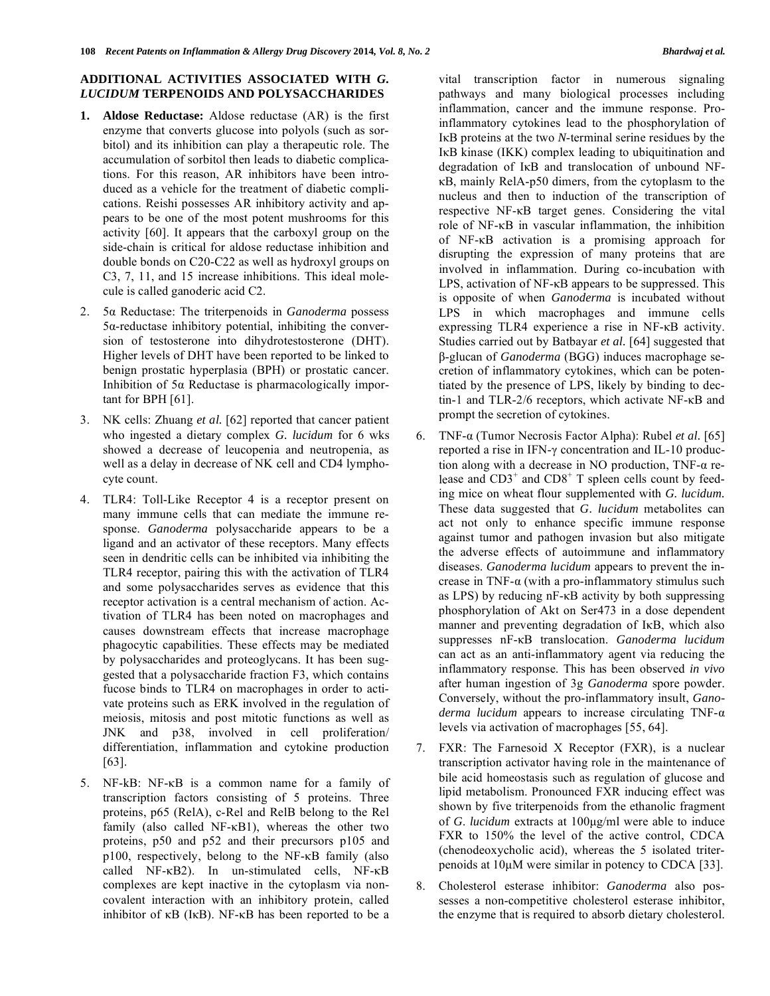### **ADDITIONAL ACTIVITIES ASSOCIATED WITH** *G. LUCIDUM* **TERPENOIDS AND POLYSACCHARIDES**

- **1. Aldose Reductase:** Aldose reductase (AR) is the first enzyme that converts glucose into polyols (such as sorbitol) and its inhibition can play a therapeutic role. The accumulation of sorbitol then leads to diabetic complications. For this reason, AR inhibitors have been introduced as a vehicle for the treatment of diabetic complications. Reishi possesses AR inhibitory activity and appears to be one of the most potent mushrooms for this activity [60]. It appears that the carboxyl group on the side-chain is critical for aldose reductase inhibition and double bonds on C20-C22 as well as hydroxyl groups on C3, 7, 11, and 15 increase inhibitions. This ideal molecule is called ganoderic acid C2.
- 2. 5 a Reductase: The triterpenoids in *Ganoderma* possess  $5\alpha$ -reductase inhibitory potential, inhibiting the conversion of testosterone into dihydrotestosterone (DHT). Higher levels of DHT have been reported to be linked to benign prostatic hyperplasia (BPH) or prostatic cancer. Inhibition of  $5\alpha$  Reductase is pharmacologically important for BPH [61].
- 3. NK cells: Zhuang *et al.* [62] reported that cancer patient who ingested a dietary complex *G. lucidum* for 6 wks showed a decrease of leucopenia and neutropenia, as well as a delay in decrease of NK cell and CD4 lymphocyte count.
- 4. TLR4: Toll-Like Receptor 4 is a receptor present on many immune cells that can mediate the immune response. *Ganoderma* polysaccharide appears to be a ligand and an activator of these receptors. Many effects seen in dendritic cells can be inhibited via inhibiting the TLR4 receptor, pairing this with the activation of TLR4 and some polysaccharides serves as evidence that this receptor activation is a central mechanism of action. Activation of TLR4 has been noted on macrophages and causes downstream effects that increase macrophage phagocytic capabilities. These effects may be mediated by polysaccharides and proteoglycans. It has been suggested that a polysaccharide fraction F3, which contains fucose binds to TLR4 on macrophages in order to activate proteins such as ERK involved in the regulation of meiosis, mitosis and post mitotic functions as well as JNK and p38, involved in cell proliferation/ differentiation, inflammation and cytokine production [63].
- 5. NF-kB: NF-κB is a common name for a family of transcription factors consisting of 5 proteins. Three proteins, p65 (RelA), c-Rel and RelB belong to the Rel family (also called  $NF$ - $\kappa$ B1), whereas the other two proteins, p50 and p52 and their precursors p105 and  $p100$ , respectively, belong to the NF- $\kappa$ B family (also called  $NF-\kappa B2$ ). In un-stimulated cells,  $NF-\kappa B2$ complexes are kept inactive in the cytoplasm via noncovalent interaction with an inhibitory protein, called inhibitor of  $\kappa$ B (I $\kappa$ B). NF- $\kappa$ B has been reported to be a

vital transcription factor in numerous signaling pathways and many biological processes including inflammation, cancer and the immune response. Proinflammatory cytokines lead to the phosphorylation of I<sub>K</sub>B proteins at the two *N*-terminal serine residues by the IKB kinase (IKK) complex leading to ubiquitination and degradation of IKB and translocation of unbound NF-B, mainly RelA-p50 dimers, from the cytoplasm to the nucleus and then to induction of the transcription of respective  $NF-\kappa B$  target genes. Considering the vital role of  $NF-\kappa B$  in vascular inflammation, the inhibition of NF- $\kappa$ B activation is a promising approach for disrupting the expression of many proteins that are involved in inflammation. During co-incubation with LPS, activation of  $NF$ - $\kappa$ B appears to be suppressed. This is opposite of when *Ganoderma* is incubated without LPS in which macrophages and immune cells expressing TLR4 experience a rise in  $NF-\kappa B$  activity. Studies carried out by Batbayar *et al.* [64] suggested that --glucan of *Ganoderma* (BGG) induces macrophage secretion of inflammatory cytokines, which can be potentiated by the presence of LPS, likely by binding to dectin-1 and TLR-2/6 receptors, which activate NF- $\kappa$ B and prompt the secretion of cytokines.

- 6. TNF- (Tumor Necrosis Factor Alpha): Rubel *et al.* [65] reported a rise in IFN- $\gamma$  concentration and IL-10 production along with a decrease in NO production,  $TNF-\alpha$  release and  $CD3^+$  and  $CD8^+$  T spleen cells count by feeding mice on wheat flour supplemented with *G. lucidum.*  These data suggested that *G. lucidum* metabolites can act not only to enhance specific immune response against tumor and pathogen invasion but also mitigate the adverse effects of autoimmune and inflammatory diseases. *Ganoderma lucidum* appears to prevent the increase in TNF- $\alpha$  (with a pro-inflammatory stimulus such as LPS) by reducing  $nF-\kappa B$  activity by both suppressing phosphorylation of Akt on Ser473 in a dose dependent manner and preventing degradation of IKB, which also suppresses nF-KB translocation. *Ganoderma lucidum* can act as an anti-inflammatory agent via reducing the inflammatory response. This has been observed *in vivo* after human ingestion of 3g *Ganoderma* spore powder. Conversely, without the pro-inflammatory insult, *Gano* $derma$  *lucidum* appears to increase circulating TNF- $\alpha$ levels via activation of macrophages [55, 64].
- 7. FXR: The Farnesoid X Receptor (FXR), is a nuclear transcription activator having role in the maintenance of bile acid homeostasis such as regulation of glucose and lipid metabolism. Pronounced FXR inducing effect was shown by five triterpenoids from the ethanolic fragment of *G*. *lucidum* extracts at 100μg/ml were able to induce FXR to 150% the level of the active control, CDCA (chenodeoxycholic acid), whereas the 5 isolated triterpenoids at 10μM were similar in potency to CDCA [33].
- 8. Cholesterol esterase inhibitor: *Ganoderma* also possesses a non-competitive cholesterol esterase inhibitor, the enzyme that is required to absorb dietary cholesterol.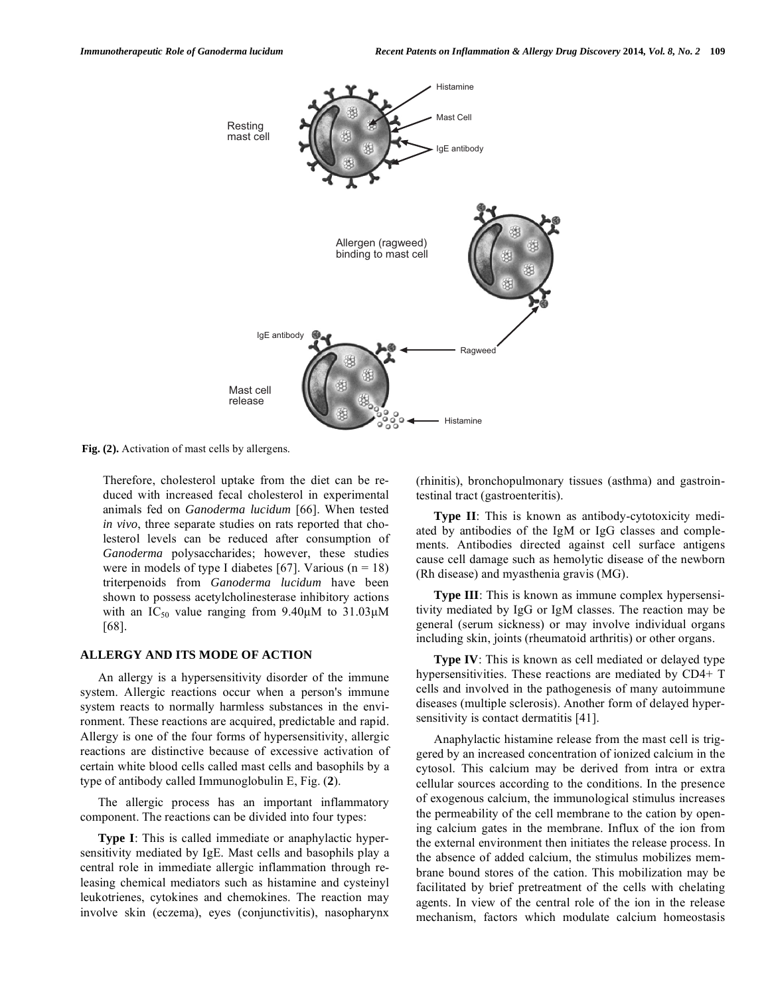

**Fig. (2).** Activation of mast cells by allergens.

Therefore, cholesterol uptake from the diet can be reduced with increased fecal cholesterol in experimental animals fed on *Ganoderma lucidum* [66]. When tested *in vivo*, three separate studies on rats reported that cholesterol levels can be reduced after consumption of *Ganoderma* polysaccharides; however, these studies were in models of type I diabetes [67]. Various ( $n = 18$ ) triterpenoids from *Ganoderma lucidum* have been shown to possess acetylcholinesterase inhibitory actions with an  $IC_{50}$  value ranging from 9.40 $\mu$ M to 31.03 $\mu$ M [68].

#### **ALLERGY AND ITS MODE OF ACTION**

 An allergy is a hypersensitivity disorder of the immune system. Allergic reactions occur when a person's immune system reacts to normally harmless substances in the environment. These reactions are acquired, predictable and rapid. Allergy is one of the four forms of hypersensitivity, allergic reactions are distinctive because of excessive activation of certain white blood cells called mast cells and basophils by a type of antibody called Immunoglobulin E, Fig. (**2**).

 The allergic process has an important inflammatory component. The reactions can be divided into four types:

**Type I**: This is called immediate or anaphylactic hypersensitivity mediated by IgE. Mast cells and basophils play a central role in immediate allergic inflammation through releasing chemical mediators such as histamine and cysteinyl leukotrienes, cytokines and chemokines. The reaction may involve skin (eczema), eyes (conjunctivitis), nasopharynx

(rhinitis), bronchopulmonary tissues (asthma) and gastrointestinal tract (gastroenteritis).

**Type II**: This is known as antibody-cytotoxicity mediated by antibodies of the IgM or IgG classes and complements. Antibodies directed against cell surface antigens cause cell damage such as hemolytic disease of the newborn (Rh disease) and myasthenia gravis (MG).

**Type III**: This is known as immune complex hypersensitivity mediated by IgG or IgM classes. The reaction may be general (serum sickness) or may involve individual organs including skin, joints (rheumatoid arthritis) or other organs.

**Type IV**: This is known as cell mediated or delayed type hypersensitivities. These reactions are mediated by CD4+ T cells and involved in the pathogenesis of many autoimmune diseases (multiple sclerosis). Another form of delayed hypersensitivity is contact dermatitis [41].

 Anaphylactic histamine release from the mast cell is triggered by an increased concentration of ionized calcium in the cytosol. This calcium may be derived from intra or extra cellular sources according to the conditions. In the presence of exogenous calcium, the immunological stimulus increases the permeability of the cell membrane to the cation by opening calcium gates in the membrane. Influx of the ion from the external environment then initiates the release process. In the absence of added calcium, the stimulus mobilizes membrane bound stores of the cation. This mobilization may be facilitated by brief pretreatment of the cells with chelating agents. In view of the central role of the ion in the release mechanism, factors which modulate calcium homeostasis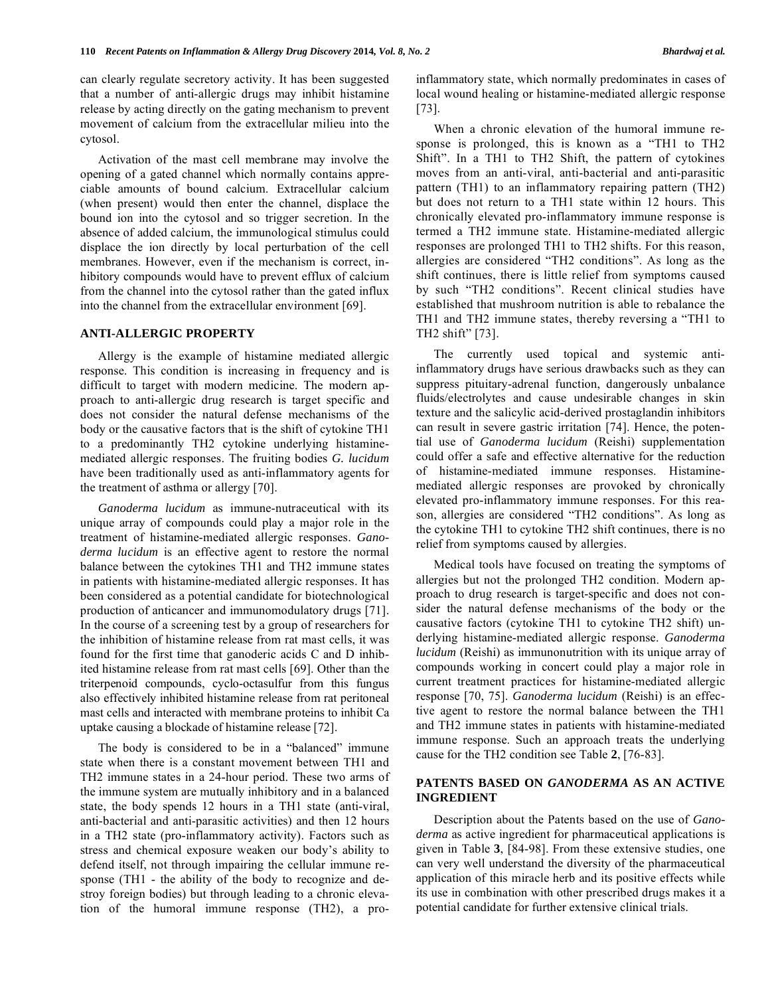can clearly regulate secretory activity. It has been suggested that a number of anti-allergic drugs may inhibit histamine release by acting directly on the gating mechanism to prevent movement of calcium from the extracellular milieu into the cytosol.

 Activation of the mast cell membrane may involve the opening of a gated channel which normally contains appreciable amounts of bound calcium. Extracellular calcium (when present) would then enter the channel, displace the bound ion into the cytosol and so trigger secretion. In the absence of added calcium, the immunological stimulus could displace the ion directly by local perturbation of the cell membranes. However, even if the mechanism is correct, inhibitory compounds would have to prevent efflux of calcium from the channel into the cytosol rather than the gated influx into the channel from the extracellular environment [69].

#### **ANTI-ALLERGIC PROPERTY**

 Allergy is the example of histamine mediated allergic response. This condition is increasing in frequency and is difficult to target with modern medicine. The modern approach to anti-allergic drug research is target specific and does not consider the natural defense mechanisms of the body or the causative factors that is the shift of cytokine TH1 to a predominantly TH2 cytokine underlying histaminemediated allergic responses. The fruiting bodies *G. lucidum*  have been traditionally used as anti-inflammatory agents for the treatment of asthma or allergy [70].

 *Ganoderma lucidum* as immune-nutraceutical with its unique array of compounds could play a major role in the treatment of histamine-mediated allergic responses. *Ganoderma lucidum* is an effective agent to restore the normal balance between the cytokines TH1 and TH2 immune states in patients with histamine-mediated allergic responses. It has been considered as a potential candidate for biotechnological production of anticancer and immunomodulatory drugs [71]. In the course of a screening test by a group of researchers for the inhibition of histamine release from rat mast cells, it was found for the first time that ganoderic acids C and D inhibited histamine release from rat mast cells [69]. Other than the triterpenoid compounds, cyclo-octasulfur from this fungus also effectively inhibited histamine release from rat peritoneal mast cells and interacted with membrane proteins to inhibit Ca uptake causing a blockade of histamine release [72].

 The body is considered to be in a "balanced" immune state when there is a constant movement between TH1 and TH2 immune states in a 24-hour period. These two arms of the immune system are mutually inhibitory and in a balanced state, the body spends 12 hours in a TH1 state (anti-viral, anti-bacterial and anti-parasitic activities) and then 12 hours in a TH2 state (pro-inflammatory activity). Factors such as stress and chemical exposure weaken our body's ability to defend itself, not through impairing the cellular immune response (TH1 - the ability of the body to recognize and destroy foreign bodies) but through leading to a chronic elevation of the humoral immune response (TH2), a proinflammatory state, which normally predominates in cases of local wound healing or histamine-mediated allergic response [73].

 When a chronic elevation of the humoral immune response is prolonged, this is known as a "TH1 to TH2 Shift". In a TH1 to TH2 Shift, the pattern of cytokines moves from an anti-viral, anti-bacterial and anti-parasitic pattern (TH1) to an inflammatory repairing pattern (TH2) but does not return to a TH1 state within 12 hours. This chronically elevated pro-inflammatory immune response is termed a TH2 immune state. Histamine-mediated allergic responses are prolonged TH1 to TH2 shifts. For this reason, allergies are considered "TH2 conditions". As long as the shift continues, there is little relief from symptoms caused by such "TH2 conditions". Recent clinical studies have established that mushroom nutrition is able to rebalance the TH1 and TH2 immune states, thereby reversing a "TH1 to TH2 shift" [73].

 The currently used topical and systemic antiinflammatory drugs have serious drawbacks such as they can suppress pituitary-adrenal function, dangerously unbalance fluids/electrolytes and cause undesirable changes in skin texture and the salicylic acid-derived prostaglandin inhibitors can result in severe gastric irritation [74]. Hence, the potential use of *Ganoderma lucidum* (Reishi) supplementation could offer a safe and effective alternative for the reduction of histamine-mediated immune responses. Histaminemediated allergic responses are provoked by chronically elevated pro-inflammatory immune responses. For this reason, allergies are considered "TH2 conditions". As long as the cytokine TH1 to cytokine TH2 shift continues, there is no relief from symptoms caused by allergies.

 Medical tools have focused on treating the symptoms of allergies but not the prolonged TH2 condition. Modern approach to drug research is target-specific and does not consider the natural defense mechanisms of the body or the causative factors (cytokine TH1 to cytokine TH2 shift) underlying histamine-mediated allergic response. *Ganoderma lucidum* (Reishi) as immunonutrition with its unique array of compounds working in concert could play a major role in current treatment practices for histamine-mediated allergic response [70, 75]. *Ganoderma lucidum* (Reishi) is an effective agent to restore the normal balance between the TH1 and TH2 immune states in patients with histamine-mediated immune response. Such an approach treats the underlying cause for the TH2 condition see Table **2**, [76-83].

#### **PATENTS BASED ON** *GANODERMA* **AS AN ACTIVE INGREDIENT**

 Description about the Patents based on the use of *Ganoderma* as active ingredient for pharmaceutical applications is given in Table **3**, [84-98]. From these extensive studies, one can very well understand the diversity of the pharmaceutical application of this miracle herb and its positive effects while its use in combination with other prescribed drugs makes it a potential candidate for further extensive clinical trials.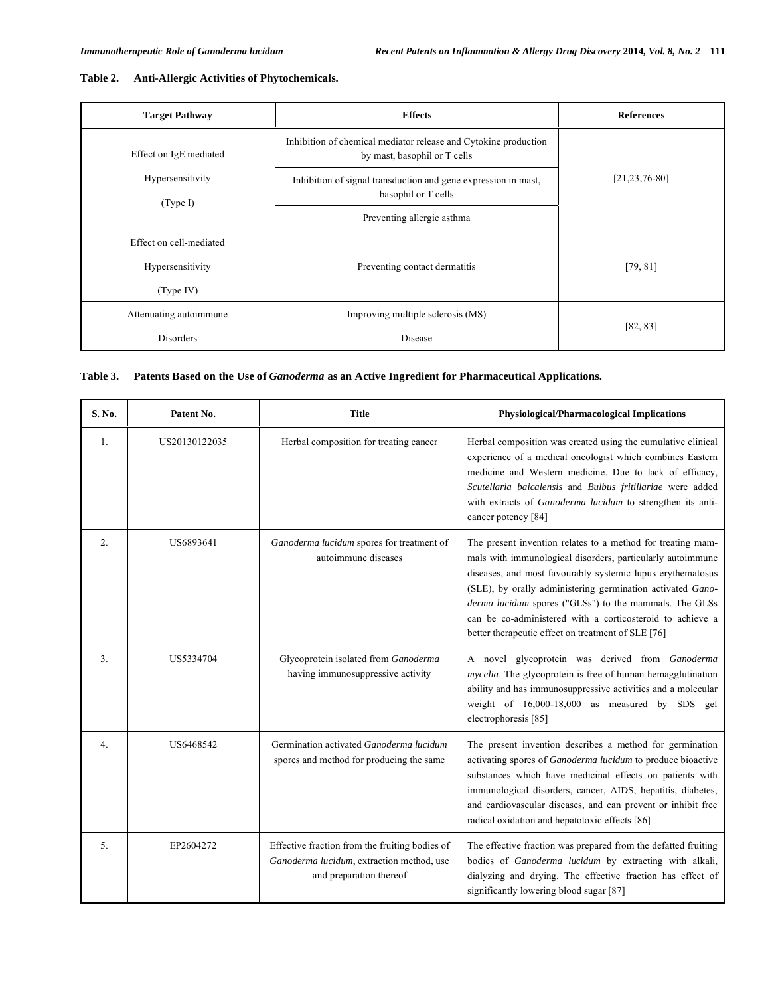| Table 2. |  |  | <b>Anti-Allergic Activities of Phytochemicals.</b> |
|----------|--|--|----------------------------------------------------|
|----------|--|--|----------------------------------------------------|

| <b>Target Pathway</b>        | <b>Effects</b>                                                                                  | <b>References</b>   |
|------------------------------|-------------------------------------------------------------------------------------------------|---------------------|
| Effect on IgE mediated       | Inhibition of chemical mediator release and Cytokine production<br>by mast, basophil or T cells |                     |
| Hypersensitivity<br>(Type I) | Inhibition of signal transduction and gene expression in mast,<br>basophil or T cells           | $[21, 23, 76 - 80]$ |
|                              | Preventing allergic asthma                                                                      |                     |
| Effect on cell-mediated      |                                                                                                 |                     |
| Hypersensitivity             | Preventing contact dermatitis                                                                   | [79, 81]            |
| (Type IV)                    |                                                                                                 |                     |
| Attenuating autoimmune       | Improving multiple sclerosis (MS)                                                               |                     |
| Disorders<br>Disease         |                                                                                                 | [82, 83]            |

## **Table 3. Patents Based on the Use of** *Ganoderma* **as an Active Ingredient for Pharmaceutical Applications.**

| S. No.           | Patent No.    | <b>Title</b>                                                                                                           | <b>Physiological/Pharmacological Implications</b>                                                                                                                                                                                                                                                                                                                                                                                  |
|------------------|---------------|------------------------------------------------------------------------------------------------------------------------|------------------------------------------------------------------------------------------------------------------------------------------------------------------------------------------------------------------------------------------------------------------------------------------------------------------------------------------------------------------------------------------------------------------------------------|
| 1.               | US20130122035 | Herbal composition for treating cancer                                                                                 | Herbal composition was created using the cumulative clinical<br>experience of a medical oncologist which combines Eastern<br>medicine and Western medicine. Due to lack of efficacy,<br>Scutellaria baicalensis and Bulbus fritillariae were added<br>with extracts of Ganoderma lucidum to strengthen its anti-<br>cancer potency [84]                                                                                            |
| 2.               | US6893641     | Ganoderma lucidum spores for treatment of<br>autoimmune diseases                                                       | The present invention relates to a method for treating mam-<br>mals with immunological disorders, particularly autoimmune<br>diseases, and most favourably systemic lupus erythematosus<br>(SLE), by orally administering germination activated Gano-<br>derma lucidum spores ("GLSs") to the mammals. The GLSs<br>can be co-administered with a corticosteroid to achieve a<br>better therapeutic effect on treatment of SLE [76] |
| $\overline{3}$ . | US5334704     | Glycoprotein isolated from Ganoderma<br>having immunosuppressive activity                                              | A novel glycoprotein was derived from Ganoderma<br>mycelia. The glycoprotein is free of human hemagglutination<br>ability and has immunosuppressive activities and a molecular<br>weight of 16,000-18,000 as measured by SDS gel<br>electrophoresis [85]                                                                                                                                                                           |
| 4.               | US6468542     | Germination activated Ganoderma lucidum<br>spores and method for producing the same                                    | The present invention describes a method for germination<br>activating spores of <i>Ganoderma lucidum</i> to produce bioactive<br>substances which have medicinal effects on patients with<br>immunological disorders, cancer, AIDS, hepatitis, diabetes,<br>and cardiovascular diseases, and can prevent or inhibit free<br>radical oxidation and hepatotoxic effects [86]                                                        |
| 5 <sub>1</sub>   | EP2604272     | Effective fraction from the fruiting bodies of<br>Ganoderma lucidum, extraction method, use<br>and preparation thereof | The effective fraction was prepared from the defatted fruiting<br>bodies of Ganoderma lucidum by extracting with alkali,<br>dialyzing and drying. The effective fraction has effect of<br>significantly lowering blood sugar [87]                                                                                                                                                                                                  |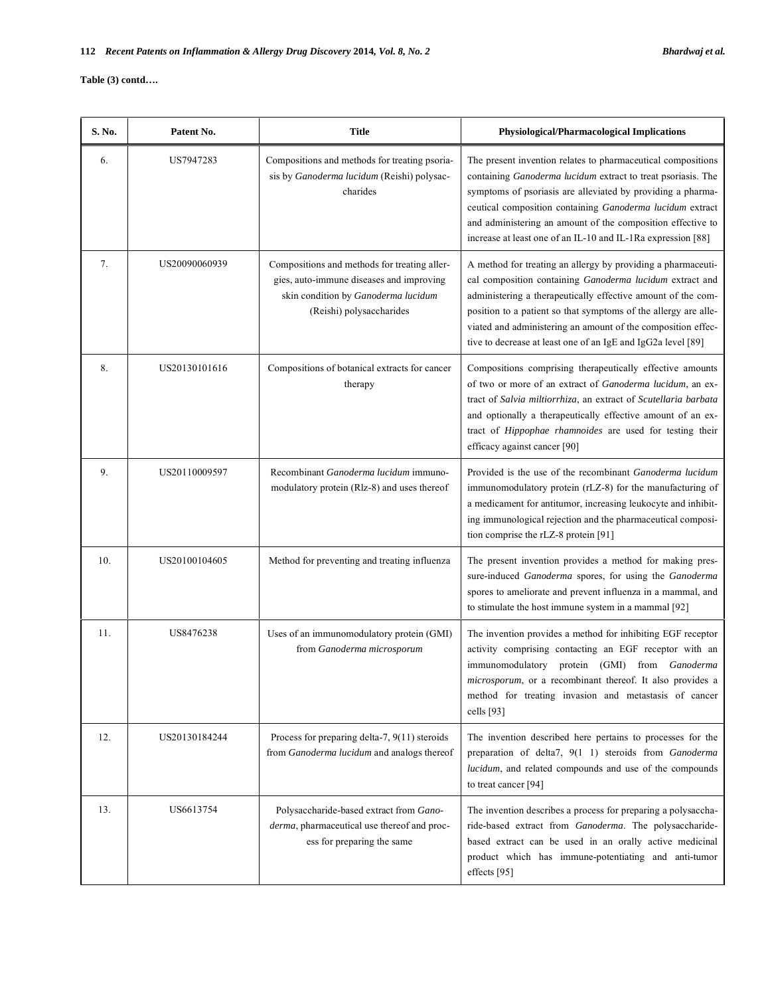#### **Table (3) contd….**

| S. No. | Patent No.    | <b>Title</b>                                                                                                                                                | Physiological/Pharmacological Implications                                                                                                                                                                                                                                                                                                                                                  |
|--------|---------------|-------------------------------------------------------------------------------------------------------------------------------------------------------------|---------------------------------------------------------------------------------------------------------------------------------------------------------------------------------------------------------------------------------------------------------------------------------------------------------------------------------------------------------------------------------------------|
| 6.     | US7947283     | Compositions and methods for treating psoria-<br>sis by Ganoderma lucidum (Reishi) polysac-<br>charides                                                     | The present invention relates to pharmaceutical compositions<br>containing Ganoderma lucidum extract to treat psoriasis. The<br>symptoms of psoriasis are alleviated by providing a pharma-<br>ceutical composition containing Ganoderma lucidum extract<br>and administering an amount of the composition effective to<br>increase at least one of an IL-10 and IL-1Ra expression [88]     |
| 7.     | US20090060939 | Compositions and methods for treating aller-<br>gies, auto-immune diseases and improving<br>skin condition by Ganoderma lucidum<br>(Reishi) polysaccharides | A method for treating an allergy by providing a pharmaceuti-<br>cal composition containing Ganoderma lucidum extract and<br>administering a therapeutically effective amount of the com-<br>position to a patient so that symptoms of the allergy are alle-<br>viated and administering an amount of the composition effec-<br>tive to decrease at least one of an IgE and IgG2a level [89] |
| 8.     | US20130101616 | Compositions of botanical extracts for cancer<br>therapy                                                                                                    | Compositions comprising therapeutically effective amounts<br>of two or more of an extract of Ganoderma lucidum, an ex-<br>tract of Salvia miltiorrhiza, an extract of Scutellaria barbata<br>and optionally a therapeutically effective amount of an ex-<br>tract of Hippophae rhamnoides are used for testing their<br>efficacy against cancer [90]                                        |
| 9.     | US20110009597 | Recombinant Ganoderma lucidum immuno-<br>modulatory protein (Rlz-8) and uses thereof                                                                        | Provided is the use of the recombinant Ganoderma lucidum<br>immunomodulatory protein (rLZ-8) for the manufacturing of<br>a medicament for antitumor, increasing leukocyte and inhibit-<br>ing immunological rejection and the pharmaceutical composi-<br>tion comprise the rLZ-8 protein [91]                                                                                               |
| 10.    | US20100104605 | Method for preventing and treating influenza                                                                                                                | The present invention provides a method for making pres-<br>sure-induced Ganoderma spores, for using the Ganoderma<br>spores to ameliorate and prevent influenza in a mammal, and<br>to stimulate the host immune system in a mammal [92]                                                                                                                                                   |
| 11.    | US8476238     | Uses of an immunomodulatory protein (GMI)<br>from Ganoderma microsporum                                                                                     | The invention provides a method for inhibiting EGF receptor<br>activity comprising contacting an EGF receptor with an<br>immunomodulatory protein (GMI) from Ganoderma<br>microsporum, or a recombinant thereof. It also provides a<br>method for treating invasion and metastasis of cancer<br>cells $[93]$                                                                                |
| 12.    | US20130184244 | Process for preparing delta-7, $9(11)$ steroids<br>from Ganoderma lucidum and analogs thereof                                                               | The invention described here pertains to processes for the<br>preparation of delta7, 9(1 1) steroids from Ganoderma<br>lucidum, and related compounds and use of the compounds<br>to treat cancer [94]                                                                                                                                                                                      |
| 13.    | US6613754     | Polysaccharide-based extract from Gano-<br>derma, pharmaceutical use thereof and proc-<br>ess for preparing the same                                        | The invention describes a process for preparing a polysaccha-<br>ride-based extract from Ganoderma. The polysaccharide-<br>based extract can be used in an orally active medicinal<br>product which has immune-potentiating and anti-tumor<br>effects [95]                                                                                                                                  |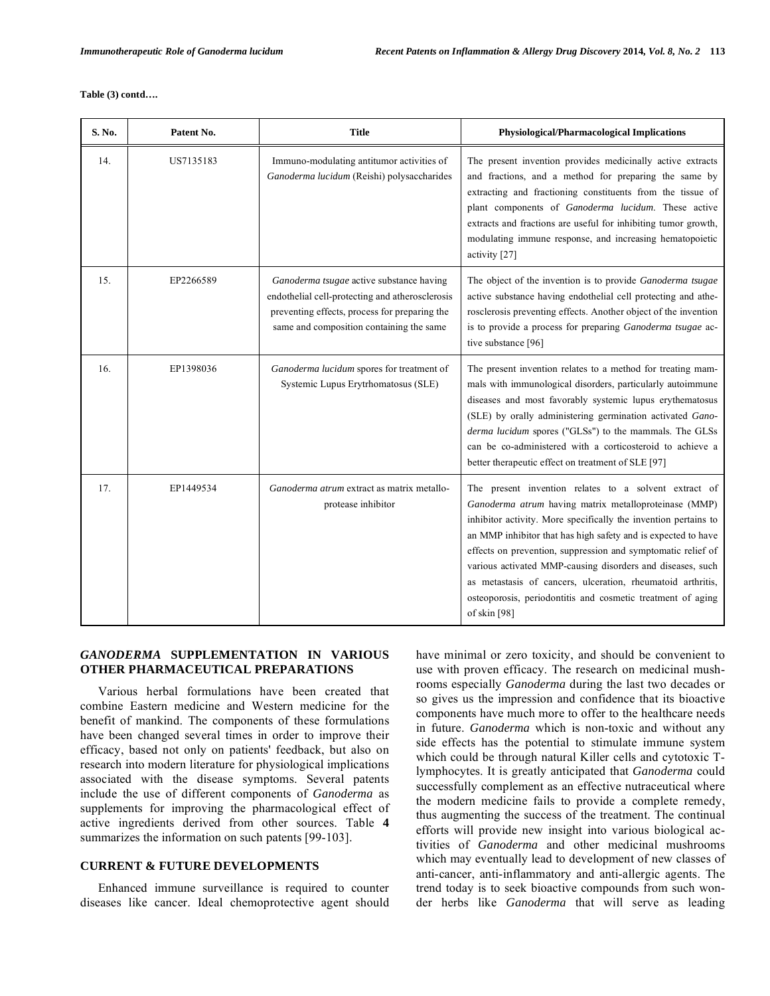**Table (3) contd….** 

| S. No. | Patent No. | <b>Title</b>                                                                                                                                                                             | <b>Physiological/Pharmacological Implications</b>                                                                                                                                                                                                                                                                                                                                                                                                                                                                              |
|--------|------------|------------------------------------------------------------------------------------------------------------------------------------------------------------------------------------------|--------------------------------------------------------------------------------------------------------------------------------------------------------------------------------------------------------------------------------------------------------------------------------------------------------------------------------------------------------------------------------------------------------------------------------------------------------------------------------------------------------------------------------|
| 14.    | US7135183  | Immuno-modulating antitumor activities of<br>Ganoderma lucidum (Reishi) polysaccharides                                                                                                  | The present invention provides medicinally active extracts<br>and fractions, and a method for preparing the same by<br>extracting and fractioning constituents from the tissue of<br>plant components of Ganoderma lucidum. These active<br>extracts and fractions are useful for inhibiting tumor growth,<br>modulating immune response, and increasing hematopoietic<br>activity [27]                                                                                                                                        |
| 15.    | EP2266589  | Ganoderma tsugae active substance having<br>endothelial cell-protecting and atherosclerosis<br>preventing effects, process for preparing the<br>same and composition containing the same | The object of the invention is to provide Ganoderma tsugae<br>active substance having endothelial cell protecting and athe-<br>rosclerosis preventing effects. Another object of the invention<br>is to provide a process for preparing Ganoderma tsugae ac-<br>tive substance [96]                                                                                                                                                                                                                                            |
| 16.    | EP1398036  | Ganoderma lucidum spores for treatment of<br>Systemic Lupus Erytrhomatosus (SLE)                                                                                                         | The present invention relates to a method for treating mam-<br>mals with immunological disorders, particularly autoimmune<br>diseases and most favorably systemic lupus erythematosus<br>(SLE) by orally administering germination activated Gano-<br>derma lucidum spores ("GLSs") to the mammals. The GLSs<br>can be co-administered with a corticosteroid to achieve a<br>better therapeutic effect on treatment of SLE [97]                                                                                                |
| 17.    | EP1449534  | Ganoderma atrum extract as matrix metallo-<br>protease inhibitor                                                                                                                         | The present invention relates to a solvent extract of<br>Ganoderma atrum having matrix metalloproteinase (MMP)<br>inhibitor activity. More specifically the invention pertains to<br>an MMP inhibitor that has high safety and is expected to have<br>effects on prevention, suppression and symptomatic relief of<br>various activated MMP-causing disorders and diseases, such<br>as metastasis of cancers, ulceration, rheumatoid arthritis,<br>osteoporosis, periodontitis and cosmetic treatment of aging<br>of skin [98] |

#### *GANODERMA* **SUPPLEMENTATION IN VARIOUS OTHER PHARMACEUTICAL PREPARATIONS**

 Various herbal formulations have been created that combine Eastern medicine and Western medicine for the benefit of mankind. The components of these formulations have been changed several times in order to improve their efficacy, based not only on patients' feedback, but also on research into modern literature for physiological implications associated with the disease symptoms. Several patents include the use of different components of *Ganoderma* as supplements for improving the pharmacological effect of active ingredients derived from other sources. Table **4**  summarizes the information on such patents [99-103].

## **CURRENT & FUTURE DEVELOPMENTS**

 Enhanced immune surveillance is required to counter diseases like cancer. Ideal chemoprotective agent should have minimal or zero toxicity, and should be convenient to use with proven efficacy. The research on medicinal mushrooms especially *Ganoderma* during the last two decades or so gives us the impression and confidence that its bioactive components have much more to offer to the healthcare needs in future. *Ganoderma* which is non-toxic and without any side effects has the potential to stimulate immune system which could be through natural Killer cells and cytotoxic Tlymphocytes. It is greatly anticipated that *Ganoderma* could successfully complement as an effective nutraceutical where the modern medicine fails to provide a complete remedy, thus augmenting the success of the treatment. The continual efforts will provide new insight into various biological activities of *Ganoderma* and other medicinal mushrooms which may eventually lead to development of new classes of anti-cancer, anti-inflammatory and anti-allergic agents. The trend today is to seek bioactive compounds from such wonder herbs like *Ganoderma* that will serve as leading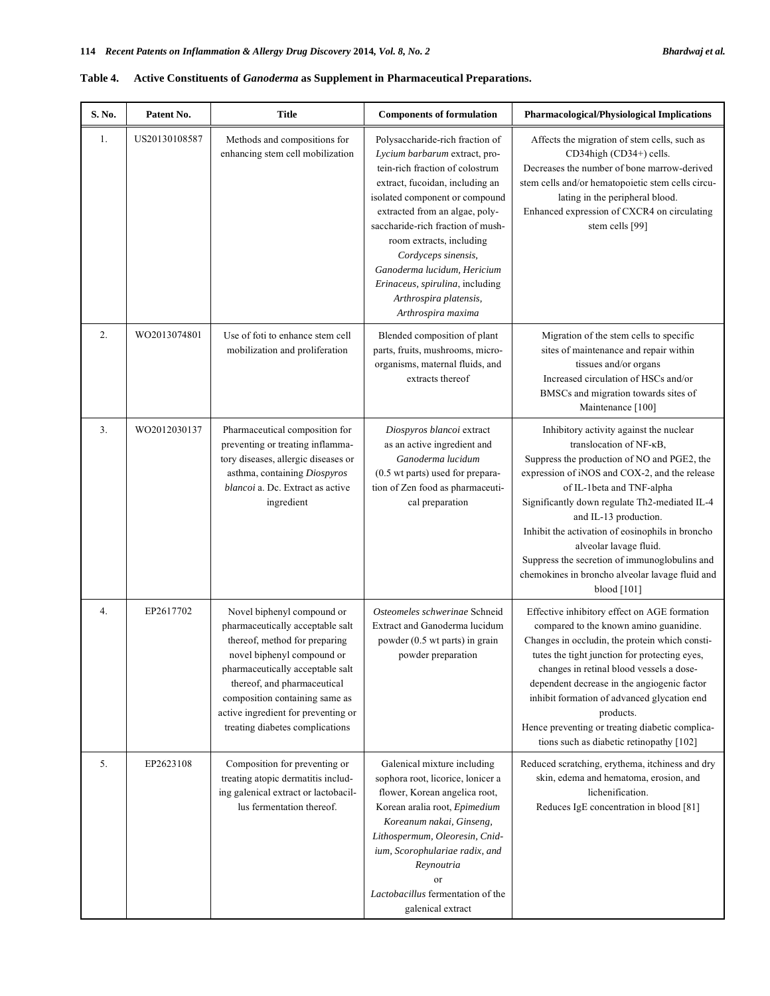| S. No. | Patent No.    | <b>Title</b>                                                                                                                                                                                                                                                                                                 | <b>Components of formulation</b>                                                                                                                                                                                                                                                                                                                                                                                     | <b>Pharmacological/Physiological Implications</b>                                                                                                                                                                                                                                                                                                                                                                                                                          |
|--------|---------------|--------------------------------------------------------------------------------------------------------------------------------------------------------------------------------------------------------------------------------------------------------------------------------------------------------------|----------------------------------------------------------------------------------------------------------------------------------------------------------------------------------------------------------------------------------------------------------------------------------------------------------------------------------------------------------------------------------------------------------------------|----------------------------------------------------------------------------------------------------------------------------------------------------------------------------------------------------------------------------------------------------------------------------------------------------------------------------------------------------------------------------------------------------------------------------------------------------------------------------|
| 1.     | US20130108587 | Methods and compositions for<br>enhancing stem cell mobilization                                                                                                                                                                                                                                             | Polysaccharide-rich fraction of<br>Lycium barbarum extract, pro-<br>tein-rich fraction of colostrum<br>extract, fucoidan, including an<br>isolated component or compound<br>extracted from an algae, poly-<br>saccharide-rich fraction of mush-<br>room extracts, including<br>Cordyceps sinensis,<br>Ganoderma lucidum, Hericium<br>Erinaceus, spirulina, including<br>Arthrospira platensis,<br>Arthrospira maxima | Affects the migration of stem cells, such as<br>CD34high (CD34+) cells.<br>Decreases the number of bone marrow-derived<br>stem cells and/or hematopoietic stem cells circu-<br>lating in the peripheral blood.<br>Enhanced expression of CXCR4 on circulating<br>stem cells [99]                                                                                                                                                                                           |
| 2.     | WO2013074801  | Use of foti to enhance stem cell<br>mobilization and proliferation                                                                                                                                                                                                                                           | Blended composition of plant<br>parts, fruits, mushrooms, micro-<br>organisms, maternal fluids, and<br>extracts thereof                                                                                                                                                                                                                                                                                              | Migration of the stem cells to specific<br>sites of maintenance and repair within<br>tissues and/or organs<br>Increased circulation of HSCs and/or<br>BMSCs and migration towards sites of<br>Maintenance [100]                                                                                                                                                                                                                                                            |
| 3.     | WO2012030137  | Pharmaceutical composition for<br>preventing or treating inflamma-<br>tory diseases, allergic diseases or<br>asthma, containing Diospyros<br><i>blancoi</i> a. Dc. Extract as active<br>ingredient                                                                                                           | Diospyros blancoi extract<br>as an active ingredient and<br>Ganoderma lucidum<br>(0.5 wt parts) used for prepara-<br>tion of Zen food as pharmaceuti-<br>cal preparation                                                                                                                                                                                                                                             | Inhibitory activity against the nuclear<br>translocation of NF-KB,<br>Suppress the production of NO and PGE2, the<br>expression of iNOS and COX-2, and the release<br>of IL-1beta and TNF-alpha<br>Significantly down regulate Th2-mediated IL-4<br>and IL-13 production.<br>Inhibit the activation of eosinophils in broncho<br>alveolar lavage fluid.<br>Suppress the secretion of immunoglobulins and<br>chemokines in broncho alveolar lavage fluid and<br>blood [101] |
| 4.     | EP2617702     | Novel biphenyl compound or<br>pharmaceutically acceptable salt<br>thereof, method for preparing<br>novel biphenyl compound or<br>pharmaceutically acceptable salt<br>thereof, and pharmaceutical<br>composition containing same as<br>active ingredient for preventing or<br>treating diabetes complications | Osteomeles schwerinae Schneid<br>Extract and Ganoderma lucidum<br>powder (0.5 wt parts) in grain<br>powder preparation                                                                                                                                                                                                                                                                                               | Effective inhibitory effect on AGE formation<br>compared to the known amino guanidine.<br>Changes in occludin, the protein which consti-<br>tutes the tight junction for protecting eyes,<br>changes in retinal blood vessels a dose-<br>dependent decrease in the angiogenic factor<br>inhibit formation of advanced glycation end<br>products.<br>Hence preventing or treating diabetic complica-<br>tions such as diabetic retinopathy [102]                            |
| 5.     | EP2623108     | Composition for preventing or<br>treating atopic dermatitis includ-<br>ing galenical extract or lactobacil-<br>lus fermentation thereof.                                                                                                                                                                     | Galenical mixture including<br>sophora root, licorice, lonicer a<br>flower, Korean angelica root,<br>Korean aralia root, Epimedium<br>Koreanum nakai, Ginseng,<br>Lithospermum, Oleoresin, Cnid-<br>ium, Scorophulariae radix, and<br>Reynoutria<br>or<br>Lactobacillus fermentation of the<br>galenical extract                                                                                                     | Reduced scratching, erythema, itchiness and dry<br>skin, edema and hematoma, erosion, and<br>lichenification.<br>Reduces IgE concentration in blood [81]                                                                                                                                                                                                                                                                                                                   |

## **Table 4. Active Constituents of** *Ganoderma* **as Supplement in Pharmaceutical Preparations.**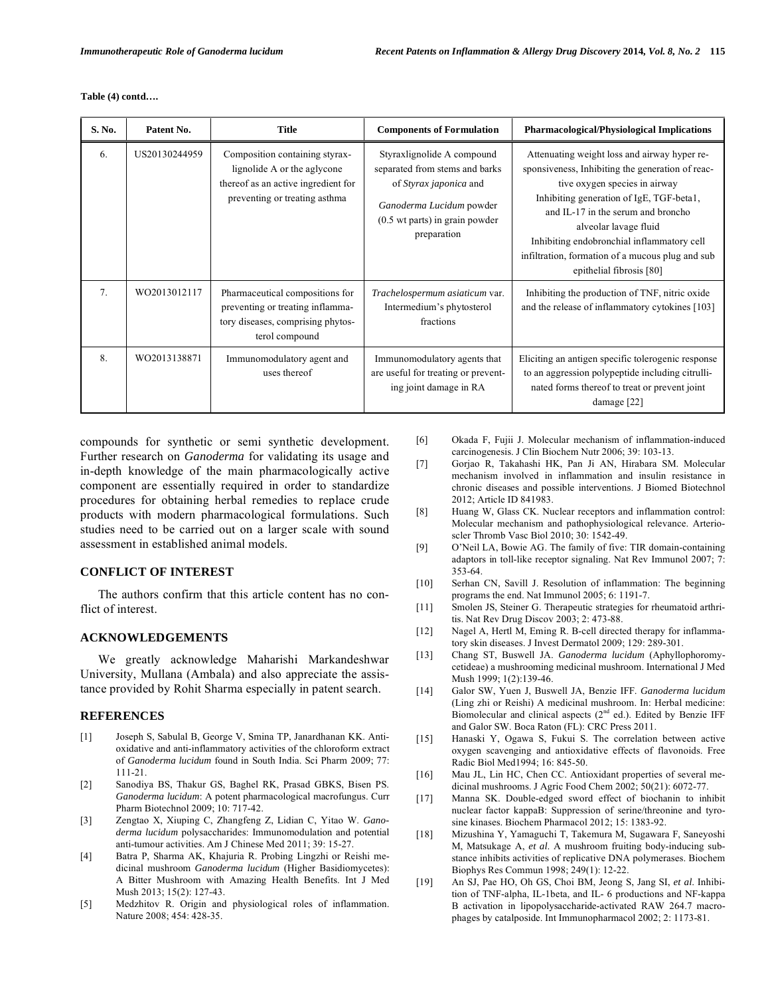**Table (4) contd….** 

| S. No. | Patent No.    | <b>Title</b>                                                                                                                          | <b>Components of Formulation</b>                                                                                                                                    | <b>Pharmacological/Physiological Implications</b>                                                                                                                                                                                                                                                                                                                           |
|--------|---------------|---------------------------------------------------------------------------------------------------------------------------------------|---------------------------------------------------------------------------------------------------------------------------------------------------------------------|-----------------------------------------------------------------------------------------------------------------------------------------------------------------------------------------------------------------------------------------------------------------------------------------------------------------------------------------------------------------------------|
| 6.     | US20130244959 | Composition containing styrax-<br>lignolide A or the aglycone<br>thereof as an active ingredient for<br>preventing or treating asthma | Styraxlignolide A compound<br>separated from stems and barks<br>of Styrax japonica and<br>Ganoderma Lucidum powder<br>(0.5 wt parts) in grain powder<br>preparation | Attenuating weight loss and airway hyper re-<br>sponsiveness, Inhibiting the generation of reac-<br>tive oxygen species in airway<br>Inhibiting generation of IgE, TGF-beta1,<br>and IL-17 in the serum and broncho<br>alveolar lavage fluid<br>Inhibiting endobronchial inflammatory cell<br>infiltration, formation of a mucous plug and sub-<br>epithelial fibrosis [80] |
| 7.     | WO2013012117  | Pharmaceutical compositions for<br>preventing or treating inflamma-<br>tory diseases, comprising phytos-<br>terol compound            | Trachelospermum asiaticum var.<br>Intermedium's phytosterol<br>fractions                                                                                            | Inhibiting the production of TNF, nitric oxide<br>and the release of inflammatory cytokines [103]                                                                                                                                                                                                                                                                           |
| 8.     | WO2013138871  | Immunomodulatory agent and<br>uses thereof                                                                                            | Immunomodulatory agents that<br>are useful for treating or prevent-<br>ing joint damage in RA                                                                       | Eliciting an antigen specific tolerogenic response<br>to an aggression polypeptide including citrulli-<br>nated forms thereof to treat or prevent joint<br>damage $[22]$                                                                                                                                                                                                    |

compounds for synthetic or semi synthetic development. Further research on *Ganoderma* for validating its usage and in-depth knowledge of the main pharmacologically active component are essentially required in order to standardize procedures for obtaining herbal remedies to replace crude products with modern pharmacological formulations. Such studies need to be carried out on a larger scale with sound assessment in established animal models.

#### **CONFLICT OF INTEREST**

 The authors confirm that this article content has no conflict of interest.

#### **ACKNOWLEDGEMENTS**

 We greatly acknowledge Maharishi Markandeshwar University, Mullana (Ambala) and also appreciate the assistance provided by Rohit Sharma especially in patent search.

#### **REFERENCES**

- [1] Joseph S, Sabulal B, George V, Smina TP, Janardhanan KK. Antioxidative and anti-inflammatory activities of the chloroform extract of *Ganoderma lucidum* found in South India. Sci Pharm 2009; 77: 111-21.
- [2] Sanodiya BS, Thakur GS, Baghel RK, Prasad GBKS, Bisen PS. *Ganoderma lucidum*: A potent pharmacological macrofungus. Curr Pharm Biotechnol 2009; 10: 717-42.
- [3] Zengtao X, Xiuping C, Zhangfeng Z, Lidian C, Yitao W. *Ganoderma lucidum* polysaccharides: Immunomodulation and potential anti-tumour activities. Am J Chinese Med 2011; 39: 15-27.
- [4] Batra P, Sharma AK, Khajuria R. Probing Lingzhi or Reishi medicinal mushroom *Ganoderma lucidum* (Higher Basidiomycetes): A Bitter Mushroom with Amazing Health Benefits. Int J Med Mush 2013; 15(2): 127-43.
- [5] Medzhitov R. Origin and physiological roles of inflammation. Nature 2008; 454: 428-35.
- [6] Okada F, Fujii J. Molecular mechanism of inflammation-induced carcinogenesis. J Clin Biochem Nutr 2006; 39: 103-13.
- [7] Gorjao R, Takahashi HK, Pan Ji AN, Hirabara SM. Molecular mechanism involved in inflammation and insulin resistance in chronic diseases and possible interventions. J Biomed Biotechnol 2012; Article ID 841983.
- [8] Huang W, Glass CK. Nuclear receptors and inflammation control: Molecular mechanism and pathophysiological relevance. Arterioscler Thromb Vasc Biol 2010; 30: 1542-49.
- [9] O'Neil LA, Bowie AG. The family of five: TIR domain-containing adaptors in toll-like receptor signaling. Nat Rev Immunol 2007; 7: 353-64.
- [10] Serhan CN, Savill J. Resolution of inflammation: The beginning programs the end. Nat Immunol 2005; 6: 1191-7.
- [11] Smolen JS, Steiner G. Therapeutic strategies for rheumatoid arthritis. Nat Rev Drug Discov 2003; 2: 473-88.
- [12] Nagel A, Hertl M, Eming R. B-cell directed therapy for inflammatory skin diseases. J Invest Dermatol 2009; 129: 289-301.
- [13] Chang ST, Buswell JA. *Ganoderma lucidum* (Aphyllophoromycetideae) a mushrooming medicinal mushroom. International J Med Mush 1999; 1(2):139-46.
- [14] Galor SW, Yuen J, Buswell JA, Benzie IFF. *Ganoderma lucidum*  (Ling zhi or Reishi) A medicinal mushroom. In: Herbal medicine: Biomolecular and clinical aspects  $(2<sup>nd</sup>$  ed.). Edited by Benzie IFF and Galor SW. Boca Raton (FL): CRC Press 2011.
- [15] Hanaski Y, Ogawa S, Fukui S. The correlation between active oxygen scavenging and antioxidative effects of flavonoids. Free Radic Biol Med1994; 16: 845-50.
- [16] Mau JL, Lin HC, Chen CC. Antioxidant properties of several medicinal mushrooms. J Agric Food Chem 2002; 50(21): 6072-77.
- [17] Manna SK. Double-edged sword effect of biochanin to inhibit nuclear factor kappaB: Suppression of serine/threonine and tyrosine kinases. Biochem Pharmacol 2012; 15: 1383-92.
- [18] Mizushina Y, Yamaguchi T, Takemura M, Sugawara F, Saneyoshi M, Matsukage A, *et al*. A mushroom fruiting body-inducing substance inhibits activities of replicative DNA polymerases. Biochem Biophys Res Commun 1998; 249(1): 12-22.
- [19] An SJ, Pae HO, Oh GS, Choi BM, Jeong S, Jang SI, *et al*. Inhibition of TNF-alpha, IL-1beta, and IL- 6 productions and NF-kappa B activation in lipopolysaccharide-activated RAW 264.7 macrophages by catalposide. Int Immunopharmacol 2002; 2: 1173-81.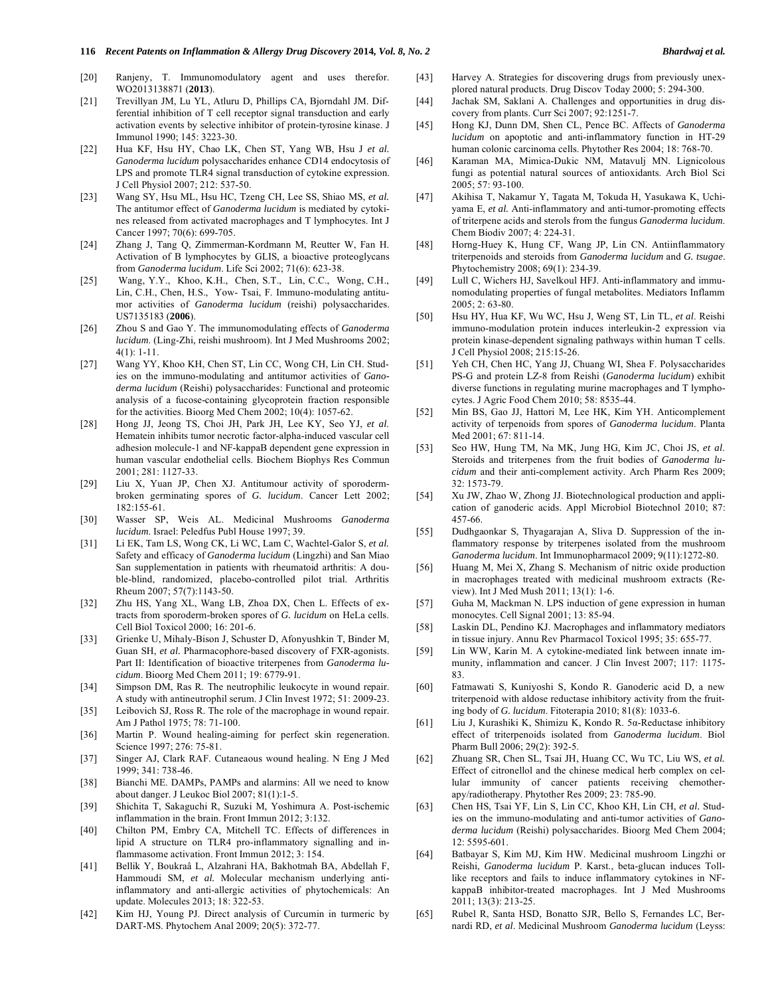- [20] Ranjeny, T. Immunomodulatory agent and uses therefor. WO2013138871 (**2013**).
- [21] Trevillyan JM, Lu YL, Atluru D, Phillips CA, Bjorndahl JM. Differential inhibition of T cell receptor signal transduction and early activation events by selective inhibitor of protein-tyrosine kinase. J Immunol 1990; 145: 3223-30.
- [22] Hua KF, Hsu HY, Chao LK, Chen ST, Yang WB, Hsu J *et al. Ganoderma lucidum* polysaccharides enhance CD14 endocytosis of LPS and promote TLR4 signal transduction of cytokine expression. J Cell Physiol 2007; 212: 537-50.
- [23] Wang SY, Hsu ML, Hsu HC, Tzeng CH, Lee SS, Shiao MS, *et al.*  The antitumor effect of *Ganoderma lucidum* is mediated by cytokines released from activated macrophages and T lymphocytes. Int J Cancer 1997; 70(6): 699-705.
- [24] Zhang J, Tang Q, Zimmerman-Kordmann M, Reutter W, Fan H. Activation of B lymphocytes by GLIS, a bioactive proteoglycans from *Ganoderma lucidum*. Life Sci 2002; 71(6): 623-38.
- [25] Wang, Y.Y., Khoo, K.H., Chen, S.T., Lin, C.C., Wong, C.H., Lin, C.H., Chen, H.S., Yow- Tsai, F. Immuno-modulating antitumor activities of *Ganoderma lucidum* (reishi) polysaccharides. US7135183 (**2006**).
- [26] Zhou S and Gao Y. The immunomodulating effects of *Ganoderma lucidum*. (Ling-Zhi, reishi mushroom). Int J Med Mushrooms 2002; 4(1): 1-11.
- [27] Wang YY, Khoo KH, Chen ST, Lin CC, Wong CH, Lin CH. Studies on the immuno-modulating and antitumor activities of *Ganoderma lucidum* (Reishi) polysaccharides: Functional and proteomic analysis of a fucose-containing glycoprotein fraction responsible for the activities. Bioorg Med Chem 2002; 10(4): 1057-62.
- [28] Hong JJ, Jeong TS, Choi JH, Park JH, Lee KY, Seo YJ, *et al*. Hematein inhibits tumor necrotic factor-alpha-induced vascular cell adhesion molecule-1 and NF-kappaB dependent gene expression in human vascular endothelial cells. Biochem Biophys Res Commun 2001; 281: 1127-33.
- [29] Liu X, Yuan JP, Chen XJ. Antitumour activity of sporodermbroken germinating spores of *G. lucidum*. Cancer Lett 2002; 182:155-61.
- [30] Wasser SP, Weis AL. Medicinal Mushrooms *Ganoderma lucidum*. Israel: Peledfus Publ House 1997; 39.
- [31] Li EK, Tam LS, Wong CK, Li WC, Lam C, Wachtel-Galor S, *et al.* Safety and efficacy of *Ganoderma lucidum* (Lingzhi) and San Miao San supplementation in patients with rheumatoid arthritis: A double-blind, randomized, placebo-controlled pilot trial. Arthritis Rheum 2007; 57(7):1143-50.
- [32] Zhu HS, Yang XL, Wang LB, Zhoa DX, Chen L. Effects of extracts from sporoderm-broken spores of *G. lucidum* on HeLa cells. Cell Biol Toxicol 2000; 16: 201-6.
- [33] Grienke U, Mihaly-Bison J, Schuster D, Afonyushkin T, Binder M, Guan SH, *et al.* Pharmacophore-based discovery of FXR-agonists. Part II: Identification of bioactive triterpenes from *Ganoderma lucidum*. Bioorg Med Chem 2011; 19: 6779-91.
- [34] Simpson DM, Ras R. The neutrophilic leukocyte in wound repair. A study with antineutrophil serum. J Clin Invest 1972; 51: 2009-23.
- [35] Leibovich SJ, Ross R. The role of the macrophage in wound repair. Am J Pathol 1975; 78: 71-100.
- [36] Martin P. Wound healing-aiming for perfect skin regeneration. Science 1997; 276: 75-81.
- [37] Singer AJ, Clark RAF. Cutaneaous wound healing. N Eng J Med 1999; 341: 738-46.
- [38] Bianchi ME. DAMPs, PAMPs and alarmins: All we need to know about danger. J Leukoc Biol 2007; 81(1):1-5.
- [39] Shichita T, Sakaguchi R, Suzuki M, Yoshimura A. Post-ischemic inflammation in the brain. Front Immun 2012; 3:132.
- [40] Chilton PM, Embry CA, Mitchell TC. Effects of differences in lipid A structure on TLR4 pro-inflammatory signalling and inflammasome activation. Front Immun 2012; 3: 154.
- [41] Bellik Y, Boukraâ L, Alzahrani HA, Bakhotmah BA, Abdellah F, Hammoudi SM, *et al.* Molecular mechanism underlying antiinflammatory and anti-allergic activities of phytochemicals: An update. Molecules 2013; 18: 322-53.
- [42] Kim HJ, Young PJ. Direct analysis of Curcumin in turmeric by DART-MS. Phytochem Anal 2009; 20(5): 372-77.
- [43] Harvey A. Strategies for discovering drugs from previously unexplored natural products. Drug Discov Today 2000; 5: 294-300.
- [44] Jachak SM, Saklani A. Challenges and opportunities in drug discovery from plants. Curr Sci 2007; 92:1251-7.
- [45] Hong KJ, Dunn DM, Shen CL, Pence BC. Affects of *Ganoderma lucidum* on apoptotic and anti-inflammatory function in HT-29 human colonic carcinoma cells. Phytother Res 2004; 18: 768-70.
- [46] Karaman MA, Mimica-Dukic NM, Matavulj MN. Lignicolous fungi as potential natural sources of antioxidants. Arch Biol Sci 2005; 57: 93-100.
- [47] Akihisa T, Nakamur Y, Tagata M, Tokuda H, Yasukawa K, Uchiyama E, *et al.* Anti-inflammatory and anti-tumor-promoting effects of triterpene acids and sterols from the fungus *Ganoderma lucidum*. Chem Biodiv 2007; 4: 224-31.
- [48] Horng-Huey K, Hung CF, Wang JP, Lin CN. Antiinflammatory triterpenoids and steroids from *Ganoderma lucidum* and *G. tsugae*. Phytochemistry 2008; 69(1): 234-39.
- [49] Lull C, Wichers HJ, Savelkoul HFJ. Anti-inflammatory and immunomodulating properties of fungal metabolites. Mediators Inflamm 2005; 2: 63-80.
- [50] Hsu HY, Hua KF, Wu WC, Hsu J, Weng ST, Lin TL, *et al*. Reishi immuno-modulation protein induces interleukin-2 expression via protein kinase-dependent signaling pathways within human T cells. J Cell Physiol 2008; 215:15-26.
- [51] Yeh CH, Chen HC, Yang JJ, Chuang WI, Shea F. Polysaccharides PS-G and protein LZ-8 from Reishi (*Ganoderma lucidum*) exhibit diverse functions in regulating murine macrophages and T lymphocytes. J Agric Food Chem 2010; 58: 8535-44.
- [52] Min BS, Gao JJ, Hattori M, Lee HK, Kim YH. Anticomplement activity of terpenoids from spores of *Ganoderma lucidum*. Planta Med 2001; 67: 811-14.
- [53] Seo HW, Hung TM, Na MK, Jung HG, Kim JC, Choi JS, *et al*. Steroids and triterpenes from the fruit bodies of *Ganoderma lucidum* and their anti-complement activity. Arch Pharm Res 2009; 32: 1573-79.
- [54] Xu JW, Zhao W, Zhong JJ. Biotechnological production and application of ganoderic acids. Appl Microbiol Biotechnol 2010; 87: 457-66.
- [55] Dudhgaonkar S, Thyagarajan A, Sliva D. Suppression of the inflammatory response by triterpenes isolated from the mushroom *Ganoderma lucidum*. Int Immunopharmacol 2009; 9(11):1272-80.
- [56] Huang M, Mei X, Zhang S. Mechanism of nitric oxide production in macrophages treated with medicinal mushroom extracts (Review). Int J Med Mush 2011; 13(1): 1-6.
- [57] Guha M, Mackman N. LPS induction of gene expression in human monocytes. Cell Signal 2001; 13: 85-94.
- [58] Laskin DL, Pendino KJ. Macrophages and inflammatory mediators in tissue injury. Annu Rev Pharmacol Toxicol 1995; 35: 655-77.
- [59] Lin WW, Karin M. A cytokine-mediated link between innate immunity, inflammation and cancer. J Clin Invest 2007; 117: 1175- 83.
- [60] Fatmawati S, Kuniyoshi S, Kondo R. Ganoderic acid D, a new triterpenoid with aldose reductase inhibitory activity from the fruiting body of *G. lucidum*. Fitoterapia 2010; 81(8): 1033-6.
- [61] Liu J, Kurashiki K, Shimizu K, Kondo R. 5 $\alpha$ -Reductase inhibitory effect of triterpenoids isolated from *Ganoderma lucidum*. Biol Pharm Bull 2006; 29(2): 392-5.
- [62] Zhuang SR, Chen SL, Tsai JH, Huang CC, Wu TC, Liu WS, *et al.* Effect of citronellol and the chinese medical herb complex on cellular immunity of cancer patients receiving chemotherapy/radiotherapy. Phytother Res 2009; 23: 785-90.
- [63] Chen HS, Tsai YF, Lin S, Lin CC, Khoo KH, Lin CH, *et al.* Studies on the immuno-modulating and anti-tumor activities of *Ganoderma lucidum* (Reishi) polysaccharides. Bioorg Med Chem 2004; 12: 5595-601.
- [64] Batbayar S, Kim MJ, Kim HW. Medicinal mushroom Lingzhi or Reishi, *Ganoderma lucidum* P. Karst., beta-glucan induces Tolllike receptors and fails to induce inflammatory cytokines in NFkappaB inhibitor-treated macrophages. Int J Med Mushrooms 2011; 13(3): 213-25.
- [65] Rubel R, Santa HSD, Bonatto SJR, Bello S, Fernandes LC, Bernardi RD, *et al*. Medicinal Mushroom *Ganoderma lucidum* (Leyss: